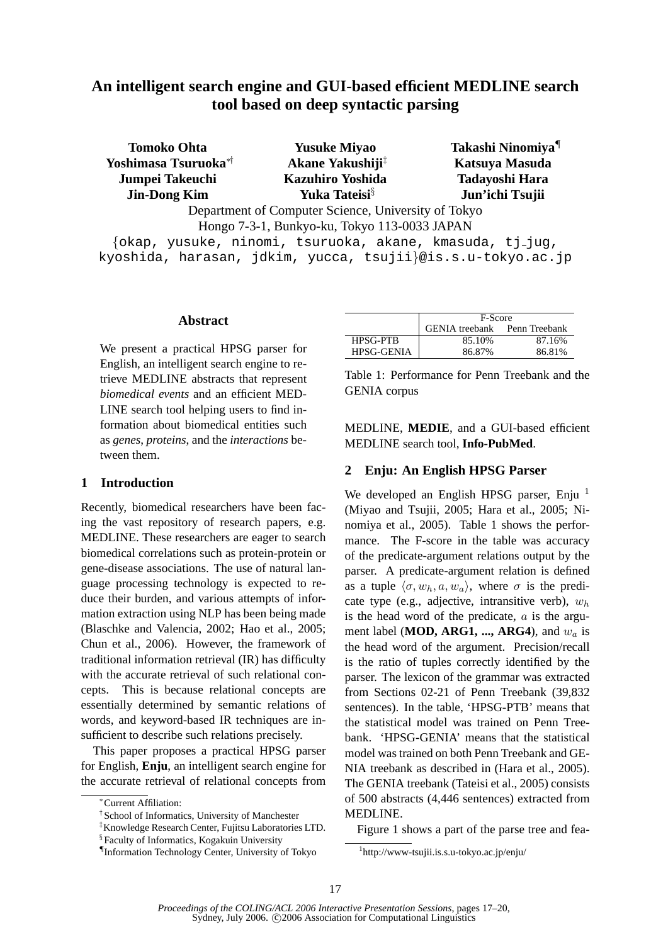# **An intelligent search engine and GUI-based efficient MEDLINE search tool based on deep syntactic parsing**

| <b>Tomoko Ohta</b>               | <b>Yusuke Miyao</b>                                | Takashi Ninomiya <sup>¶</sup> |
|----------------------------------|----------------------------------------------------|-------------------------------|
| Yoshimasa Tsuruoka <sup>*†</sup> | Akane Yakushiji <sup>‡</sup>                       | Katsuya Masuda                |
| <b>Jumpei Takeuchi</b>           | <b>Kazuhiro Yoshida</b>                            | Tadayoshi Hara                |
| <b>Jin-Dong Kim</b>              | Yuka Tateisi <sup>§</sup>                          | Jun'ichi Tsujii               |
|                                  | Department of Computer Science Hniversity of Tokyo |                               |

Department of Computer Science, University of Tokyo Hongo 7-3-1, Bunkyo-ku, Tokyo 113-0033 JAPAN

{okap, yusuke, ninomi, tsuruoka, akane, kmasuda, tj jug, kyoshida, harasan, jdkim, yucca, tsujii}@is.s.u-tokyo.ac.jp

### **Abstract**

We present a practical HPSG parser for English, an intelligent search engine to retrieve MEDLINE abstracts that represent *biomedical events* and an efficient MED-LINE search tool helping users to find information about biomedical entities such as *genes*, *proteins*, and the *interactions* between them.

# **1 Introduction**

Recently, biomedical researchers have been facing the vast repository of research papers, e.g. MEDLINE. These researchers are eager to search biomedical correlations such as protein-protein or gene-disease associations. The use of natural language processing technology is expected to reduce their burden, and various attempts of information extraction using NLP has been being made (Blaschke and Valencia, 2002; Hao et al., 2005; Chun et al., 2006). However, the framework of traditional information retrieval (IR) has difficulty with the accurate retrieval of such relational concepts. This is because relational concepts are essentially determined by semantic relations of words, and keyword-based IR techniques are insufficient to describe such relations precisely.

This paper proposes a practical HPSG parser for English, **Enju**, an intelligent search engine for the accurate retrieval of relational concepts from

|                   | F-Score                             |        |
|-------------------|-------------------------------------|--------|
|                   | <b>GENIA</b> treebank Penn Treebank |        |
| <b>HPSG-PTB</b>   | 85.10%                              | 87.16% |
| <b>HPSG-GENIA</b> | 86.87%                              | 86.81% |

Table 1: Performance for Penn Treebank and the GENIA corpus

MEDLINE, **MEDIE**, and a GUI-based efficient MEDLINE search tool, **Info-PubMed**.

# **2 Enju: An English HPSG Parser**

We developed an English HPSG parser, Enju  $^1$ (Miyao and Tsujii, 2005; Hara et al., 2005; Ninomiya et al., 2005). Table 1 shows the performance. The F-score in the table was accuracy of the predicate-argument relations output by the parser. A predicate-argument relation is defined as a tuple  $\langle \sigma, w_h, a, w_a \rangle$ , where  $\sigma$  is the predicate type (e.g., adjective, intransitive verb),  $w_h$ is the head word of the predicate,  $a$  is the argument label (**MOD, ARG1, ..., ARG4**), and  $w_a$  is the head word of the argument. Precision/recall is the ratio of tuples correctly identified by the parser. The lexicon of the grammar was extracted from Sections 02-21 of Penn Treebank (39,832 sentences). In the table, 'HPSG-PTB' means that the statistical model was trained on Penn Treebank. 'HPSG-GENIA' means that the statistical model was trained on both Penn Treebank and GE-NIA treebank as described in (Hara et al., 2005). The GENIA treebank (Tateisi et al., 2005) consists of 500 abstracts (4,446 sentences) extracted from MEDLINE.

Figure 1 shows a part of the parse tree and fea-

<sup>∗</sup>Current Affiliation:

<sup>†</sup> School of Informatics, University of Manchester

<sup>‡</sup>Knowledge Research Center, Fujitsu Laboratories LTD.

<sup>§</sup> Faculty of Informatics, Kogakuin University

<sup>¶</sup> Information Technology Center, University of Tokyo

<sup>1</sup> http://www-tsujii.is.s.u-tokyo.ac.jp/enju/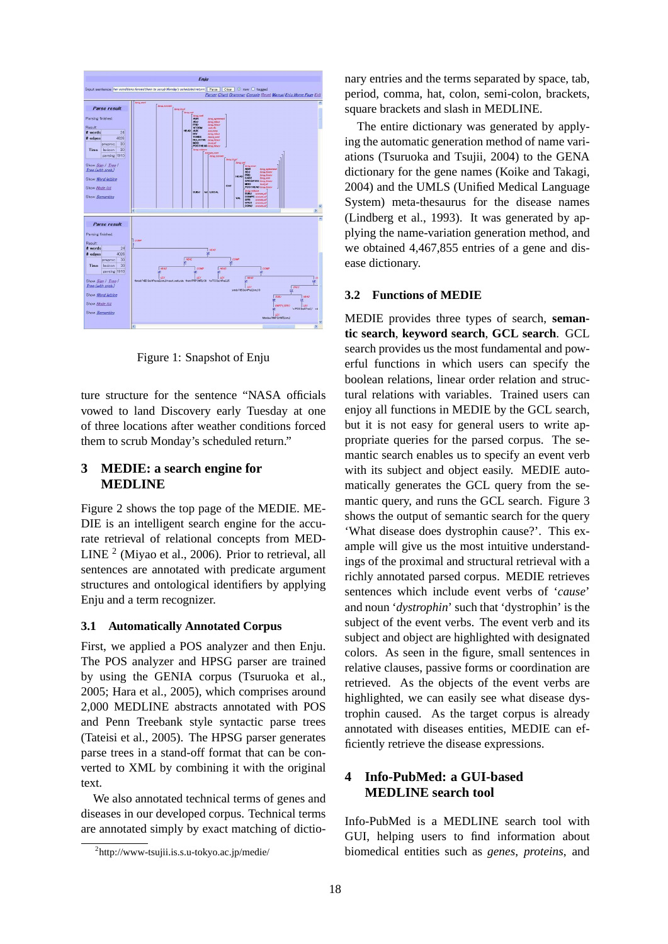

Figure 1: Snapshot of Enju

ture structure for the sentence "NASA officials vowed to land Discovery early Tuesday at one of three locations after weather conditions forced them to scrub Monday's scheduled return."

# **3 MEDIE: a search engine for MEDLINE**

Figure 2 shows the top page of the MEDIE. ME-DIE is an intelligent search engine for the accurate retrieval of relational concepts from MED-LINE<sup>2</sup> (Miyao et al., 2006). Prior to retrieval, all sentences are annotated with predicate argument structures and ontological identifiers by applying Enju and a term recognizer.

### **3.1 Automatically Annotated Corpus**

First, we applied a POS analyzer and then Enju. The POS analyzer and HPSG parser are trained by using the GENIA corpus (Tsuruoka et al., 2005; Hara et al., 2005), which comprises around 2,000 MEDLINE abstracts annotated with POS and Penn Treebank style syntactic parse trees (Tateisi et al., 2005). The HPSG parser generates parse trees in a stand-off format that can be converted to XML by combining it with the original text.

We also annotated technical terms of genes and diseases in our developed corpus. Technical terms are annotated simply by exact matching of dictionary entries and the terms separated by space, tab, period, comma, hat, colon, semi-colon, brackets, square brackets and slash in MEDLINE.

The entire dictionary was generated by applying the automatic generation method of name variations (Tsuruoka and Tsujii, 2004) to the GENA dictionary for the gene names (Koike and Takagi, 2004) and the UMLS (Unified Medical Language System) meta-thesaurus for the disease names (Lindberg et al., 1993). It was generated by applying the name-variation generation method, and we obtained 4,467,855 entries of a gene and disease dictionary.

#### **3.2 Functions of MEDIE**

MEDIE provides three types of search, **semantic search**, **keyword search**, **GCL search**. GCL search provides us the most fundamental and powerful functions in which users can specify the boolean relations, linear order relation and structural relations with variables. Trained users can enjoy all functions in MEDIE by the GCL search, but it is not easy for general users to write appropriate queries for the parsed corpus. The semantic search enables us to specify an event verb with its subject and object easily. MEDIE automatically generates the GCL query from the semantic query, and runs the GCL search. Figure 3 shows the output of semantic search for the query 'What disease does dystrophin cause?'. This example will give us the most intuitive understandings of the proximal and structural retrieval with a richly annotated parsed corpus. MEDIE retrieves sentences which include event verbs of '*cause*' and noun '*dystrophin*' such that 'dystrophin' is the subject of the event verbs. The event verb and its subject and object are highlighted with designated colors. As seen in the figure, small sentences in relative clauses, passive forms or coordination are retrieved. As the objects of the event verbs are highlighted, we can easily see what disease dystrophin caused. As the target corpus is already annotated with diseases entities, MEDIE can efficiently retrieve the disease expressions.

# **4 Info-PubMed: a GUI-based MEDLINE search tool**

Info-PubMed is a MEDLINE search tool with GUI, helping users to find information about biomedical entities such as *genes*, *proteins*, and

<sup>2</sup> http://www-tsujii.is.s.u-tokyo.ac.jp/medie/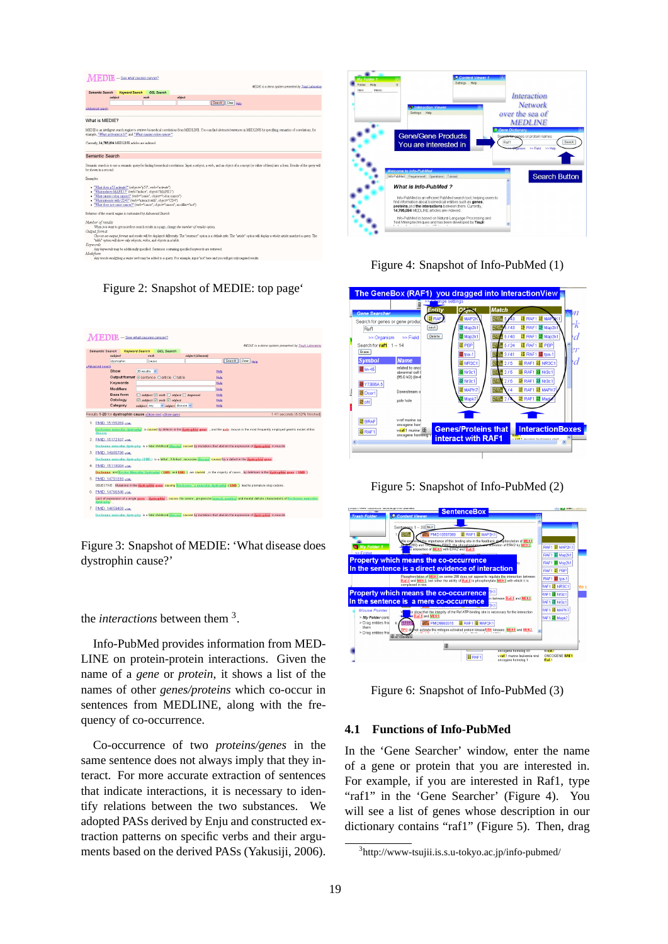

Figure 2: Snapshot of MEDIE: top page'



Figure 3: Snapshot of MEDIE: 'What disease does dystrophin cause?'

the *interactions* between them <sup>3</sup> .

Info-PubMed provides information from MED-LINE on protein-protein interactions. Given the name of a *gene* or *protein*, it shows a list of the names of other *genes/proteins* which co-occur in sentences from MEDLINE, along with the frequency of co-occurrence.

Co-occurrence of two *proteins/genes* in the same sentence does not always imply that they interact. For more accurate extraction of sentences that indicate interactions, it is necessary to identify relations between the two substances. We adopted PASs derived by Enju and constructed extraction patterns on specific verbs and their arguments based on the derived PASs (Yakusiji, 2006).



Figure 4: Snapshot of Info-PubMed (1)



Figure 5: Snapshot of Info-PubMed (2)



Figure 6: Snapshot of Info-PubMed (3)

# **4.1 Functions of Info-PubMed**

In the 'Gene Searcher' window, enter the name of a gene or protein that you are interested in. For example, if you are interested in Raf1, type "raf1" in the 'Gene Searcher' (Figure 4). You will see a list of genes whose description in our dictionary contains "raf1" (Figure 5). Then, drag

<sup>3</sup> http://www-tsujii.is.s.u-tokyo.ac.jp/info-pubmed/